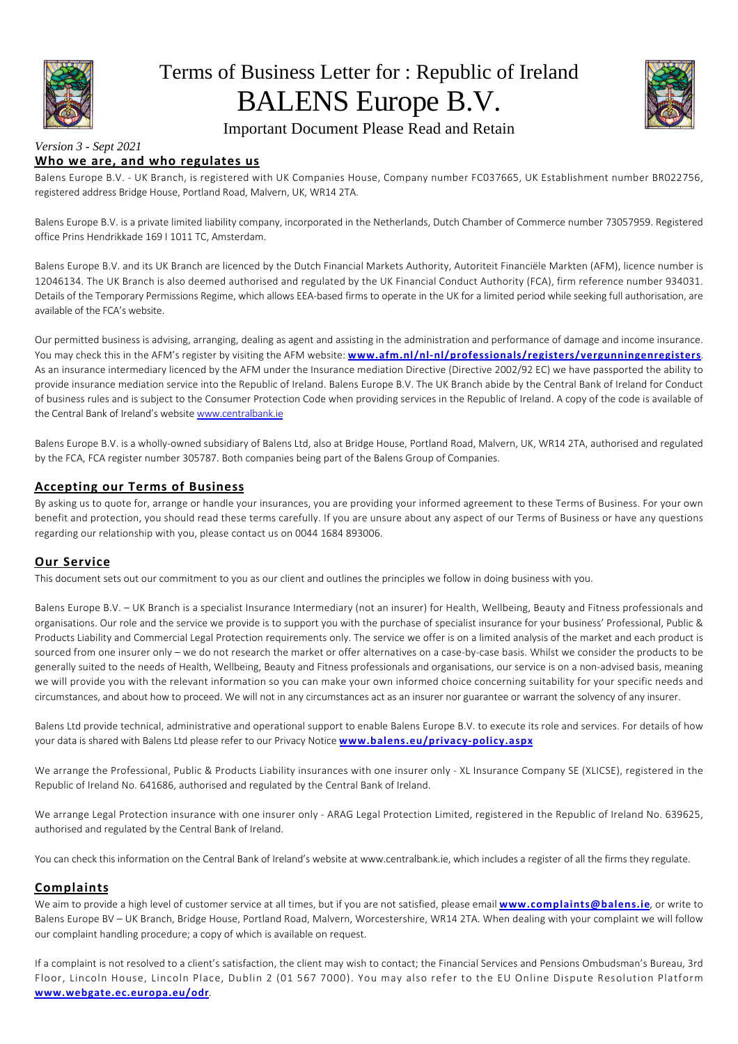

# Terms of Business Letter for : Republic of Ireland BALENS Europe B.V.



# Important Document Please Read and Retain

#### *Version 3 - Sept 2021* **Who we are, and who regulates us**

Balens Europe B.V. - UK Branch, is registered with UK Companies House, Company number FC037665, UK Establishment number BR022756, registered address Bridge House, Portland Road, Malvern, UK, WR14 2TA.

Balens Europe B.V. is a private limited liability company, incorporated in the Netherlands, Dutch Chamber of Commerce number 73057959. Registered office Prins Hendrikkade 169 I 1011 TC, Amsterdam.

Balens Europe B.V. and its UK Branch are licenced by the Dutch Financial Markets Authority, Autoriteit Financiële Markten (AFM), licence number is 12046134. The UK Branch is also deemed authorised and regulated by the UK Financial Conduct Authority (FCA), firm reference number 934031. Details of the Temporary Permissions Regime, which allows EEA-based firms to operate in the UK for a limited period while seeking full authorisation, are available of the FCA's website.

Our permitted business is advising, arranging, dealing as agent and assisting in the administration and performance of damage and income insurance. You may check this in the AFM's register by visiting the AFM website: **www.afm.nl/nl-nl/professionals/registers/vergunningenregisters**. As an insurance intermediary licenced by the AFM under the Insurance mediation Directive (Directive 2002/92 EC) we have passported the ability to provide insurance mediation service into the Republic of Ireland. Balens Europe B.V. The UK Branch abide by the Central Bank of Ireland for Conduct of business rules and is subject to the Consumer Protection Code when providing services in the Republic of Ireland. A copy of the code is available of the Central Bank of Ireland's website www.centralbank.ie

Balens Europe B.V. is a wholly-owned subsidiary of Balens Ltd, also at Bridge House, Portland Road, Malvern, UK, WR14 2TA, authorised and regulated by the FCA, FCA register number 305787. Both companies being part of the Balens Group of Companies.

# **Accepting our Terms of Business**

By asking us to quote for, arrange or handle your insurances, you are providing your informed agreement to these Terms of Business. For your own benefit and protection, you should read these terms carefully. If you are unsure about any aspect of our Terms of Business or have any questions regarding our relationship with you, please contact us on 0044 1684 893006.

# **Our Service**

This document sets out our commitment to you as our client and outlines the principles we follow in doing business with you.

Balens Europe B.V. – UK Branch is a specialist Insurance Intermediary (not an insurer) for Health, Wellbeing, Beauty and Fitness professionals and organisations. Our role and the service we provide is to support you with the purchase of specialist insurance for your business' Professional, Public & Products Liability and Commercial Legal Protection requirements only. The service we offer is on a limited analysis of the market and each product is sourced from one insurer only – we do not research the market or offer alternatives on a case-by-case basis. Whilst we consider the products to be generally suited to the needs of Health, Wellbeing, Beauty and Fitness professionals and organisations, our service is on a non-advised basis, meaning we will provide you with the relevant information so you can make your own informed choice concerning suitability for your specific needs and circumstances, and about how to proceed. We will not in any circumstances act as an insurer nor guarantee or warrant the solvency of any insurer.

Balens Ltd provide technical, administrative and operational support to enable Balens Europe B.V. to execute its role and services. For details of how your data is shared with Balens Ltd please refer to our Privacy Notice **www.balens.eu/privacy-policy.aspx**

We arrange the Professional, Public & Products Liability insurances with one insurer only - XL Insurance Company SE (XLICSE), registered in the Republic of Ireland No. 641686, authorised and regulated by the Central Bank of Ireland.

We arrange Legal Protection insurance with one insurer only - ARAG Legal Protection Limited, registered in the Republic of Ireland No. 639625, authorised and regulated by the Central Bank of Ireland.

You can check this information on the Central Bank of Ireland's website at www.centralbank.ie, which includes a register of all the firms they regulate.

# **Complaints**

We aim to provide a high level of customer service at all times, but if you are not satisfied, please email **www.complaints@balens.ie**, or write to Balens Europe BV – UK Branch, Bridge House, Portland Road, Malvern, Worcestershire, WR14 2TA. When dealing with your complaint we will follow our complaint handling procedure; a copy of which is available on request.

If a complaint is not resolved to a client's satisfaction, the client may wish to contact; the Financial Services and Pensions Ombudsman's Bureau, 3rd Floor, Lincoln House, Lincoln Place, Dublin 2 (01 567 7000). You may also refer to the EU Online Dispute Resolution Platform **www.webgate.ec.europa.eu/odr**.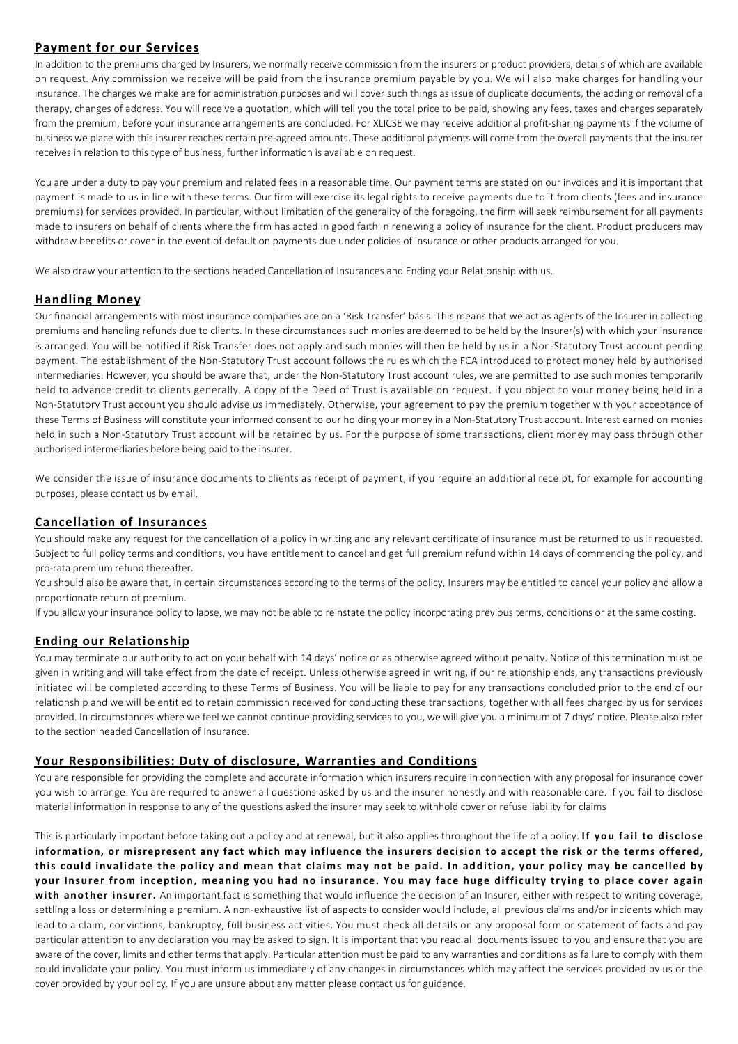# **Payment for our Services**

In addition to the premiums charged by Insurers, we normally receive commission from the insurers or product providers, details of which are available on request. Any commission we receive will be paid from the insurance premium payable by you. We will also make charges for handling your insurance. The charges we make are for administration purposes and will cover such things as issue of duplicate documents, the adding or removal of a therapy, changes of address. You will receive a quotation, which will tell you the total price to be paid, showing any fees, taxes and charges separately from the premium, before your insurance arrangements are concluded. For XLICSE we may receive additional profit-sharing payments if the volume of business we place with this insurer reaches certain pre-agreed amounts. These additional payments will come from the overall payments that the insurer receives in relation to this type of business, further information is available on request.

You are under a duty to pay your premium and related fees in a reasonable time. Our payment terms are stated on our invoices and it is important that payment is made to us in line with these terms. Our firm will exercise its legal rights to receive payments due to it from clients (fees and insurance premiums) for services provided. In particular, without limitation of the generality of the foregoing, the firm will seek reimbursement for all payments made to insurers on behalf of clients where the firm has acted in good faith in renewing a policy of insurance for the client. Product producers may withdraw benefits or cover in the event of default on payments due under policies of insurance or other products arranged for you.

We also draw your attention to the sections headed Cancellation of Insurances and Ending your Relationship with us.

#### **Handling Money**

Our financial arrangements with most insurance companies are on a 'Risk Transfer' basis. This means that we act as agents of the Insurer in collecting premiums and handling refunds due to clients. In these circumstances such monies are deemed to be held by the Insurer(s) with which your insurance is arranged. You will be notified if Risk Transfer does not apply and such monies will then be held by us in a Non-Statutory Trust account pending payment. The establishment of the Non-Statutory Trust account follows the rules which the FCA introduced to protect money held by authorised intermediaries. However, you should be aware that, under the Non-Statutory Trust account rules, we are permitted to use such monies temporarily held to advance credit to clients generally. A copy of the Deed of Trust is available on request. If you object to your money being held in a Non-Statutory Trust account you should advise us immediately. Otherwise, your agreement to pay the premium together with your acceptance of these Terms of Business will constitute your informed consent to our holding your money in a Non-Statutory Trust account. Interest earned on monies held in such a Non-Statutory Trust account will be retained by us. For the purpose of some transactions, client money may pass through other authorised intermediaries before being paid to the insurer.

We consider the issue of insurance documents to clients as receipt of payment, if you require an additional receipt, for example for accounting purposes, please contact us by email.

### **Cancellation of Insurances**

You should make any request for the cancellation of a policy in writing and any relevant certificate of insurance must be returned to us if requested. Subject to full policy terms and conditions, you have entitlement to cancel and get full premium refund within 14 days of commencing the policy, and pro-rata premium refund thereafter.

You should also be aware that, in certain circumstances according to the terms of the policy, Insurers may be entitled to cancel your policy and allow a proportionate return of premium.

If you allow your insurance policy to lapse, we may not be able to reinstate the policy incorporating previous terms, conditions or at the same costing.

#### **Ending our Relationship**

You may terminate our authority to act on your behalf with 14 days' notice or as otherwise agreed without penalty. Notice of this termination must be given in writing and will take effect from the date of receipt. Unless otherwise agreed in writing, if our relationship ends, any transactions previously initiated will be completed according to these Terms of Business. You will be liable to pay for any transactions concluded prior to the end of our relationship and we will be entitled to retain commission received for conducting these transactions, together with all fees charged by us for services provided. In circumstances where we feel we cannot continue providing services to you, we will give you a minimum of 7 days' notice. Please also refer to the section headed Cancellation of Insurance.

#### **Your Responsibilities: Duty of disclosure, Warranties and Conditions**

You are responsible for providing the complete and accurate information which insurers require in connection with any proposal for insurance cover you wish to arrange. You are required to answer all questions asked by us and the insurer honestly and with reasonable care. If you fail to disclose material information in response to any of the questions asked the insurer may seek to withhold cover or refuse liability for claims

This is particularly important before taking out a policy and at renewal, but it also applies throughout the life of a policy. **If you fail to disclose information, or misrepresent any fact which may influence the insurers decision to accept the risk or the terms offered, this could invalidate the policy and mean that claims may not be paid. In addition, your policy may be cancelled by your Insurer from inception, meaning you had no insurance. You may face huge difficulty trying to place cover again** with another insurer. An important fact is something that would influence the decision of an Insurer, either with respect to writing coverage, settling a loss or determining a premium. A non-exhaustive list of aspects to consider would include, all previous claims and/or incidents which may lead to a claim, convictions, bankruptcy, full business activities. You must check all details on any proposal form or statement of facts and pay particular attention to any declaration you may be asked to sign. It is important that you read all documents issued to you and ensure that you are aware of the cover, limits and other terms that apply. Particular attention must be paid to any warranties and conditions as failure to comply with them could invalidate your policy. You must inform us immediately of any changes in circumstances which may affect the services provided by us or the cover provided by your policy. If you are unsure about any matter please contact us for guidance.